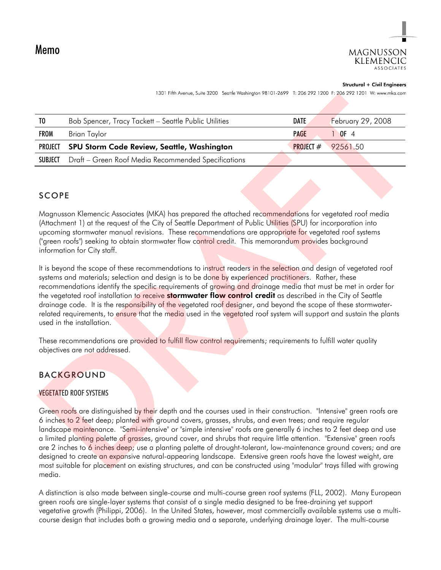

#### **Structural + Civil Engineers**

| TO      | Bob Spencer, Tracy Tackett - Seattle Public Utilities | DATE        | <b>February 29, 2008</b> |
|---------|-------------------------------------------------------|-------------|--------------------------|
| FROM    | Brian Taylor                                          | <b>PAGE</b> | $\bigcap$ OF 4           |
| PROJECT | <b>SPU Storm Code Review, Seattle, Washington</b>     | PROJECT $#$ | 92561.50                 |
| SUBJECT | Draft - Green Roof Media Recommended Specifications   |             |                          |

### SCOPE

Magnusson Klemencic Associates (MKA) has prepared the attached recommendations for vegetated roof media (Attachment 1) at the request of the City of Seattle Department of Public Utilities (SPU) for incorporation into upcoming stormwater manual revisions. These recommendations are appropriate for vegetated roof systems ("green roofs") seeking to obtain stormwater flow control credit. This memorandum provides background information for City staff.

It is beyond the scope of these recommendations to instruct readers in the selection and design of vegetated roof systems and materials; selection and design is to be done by experienced practitioners. Rather, these recommendations identify the specific requirements of growing and drainage media that must be met in order for the vegetated roof installation to receive **stormwater flow control credit** as described in the City of Seattle drainage code. It is the responsibility of the vegetated roof designer, and beyond the scope of these stormwaterrelated requirements, to ensure that the media used in the vegetated roof system will support and sustain the plants used in the installation.

These recommendations are provided to fulfill flow control requirements; requirements to fulfill water quality objectives are not addressed.

## BACKGROUND

#### VEGETATED ROOF SYSTEMS

Green roofs are distinguished by their depth and the courses used in their construction. "Intensive" green roofs are 6 inches to 2 feet deep; planted with ground covers, grasses, shrubs, and even trees; and require regular landscape maintenance. "Semi-intensive" or "simple intensive" roofs are generally 6 inches to 2 feet deep and use a limited planting palette of grasses, ground cover, and shrubs that require little attention. "Extensive" green roofs are 2 inches to 6 inches deep; use a planting palette of drought-tolerant, low-maintenance ground covers; and are designed to create an expansive natural-appearing landscape. Extensive green roofs have the lowest weight, are most suitable for placement on existing structures, and can be constructed using "modular" trays filled with growing media. TO Bob Spencer, Tracy Tacket Securities when the third when the third is the track of the track of the track of the track of the track of the track of the track of the spence of the track of the spence of the specification

A distinction is also made between single-course and multi-course green roof systems (FLL, 2002). Many European green roofs are single-layer systems that consist of a single media designed to be free-draining yet support vegetative growth (Philippi, 2006). In the United States, however, most commercially available systems use a multicourse design that includes both a growing media and a separate, underlying drainage layer. The multi-course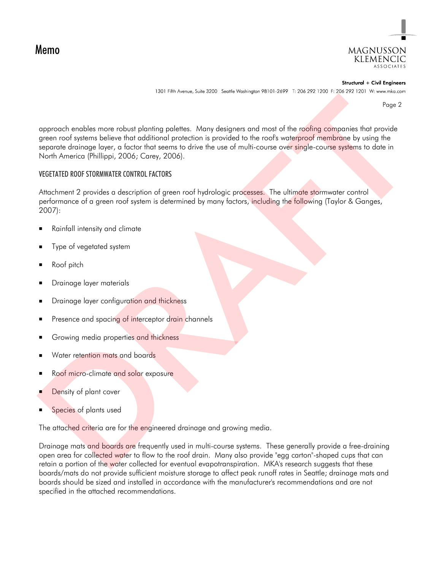Memo



Structural + Civil Engineers

Page 2

approach enables more robust planting palettes. Many designers and most of the roofing companies that provide green roof systems believe that additional protection is provided to the roof's waterproof membrane by using the separate drainage layer, a factor that seems to drive the use of multi-course over single-course systems to date in North America (Phillippi, 2006; Carey, 2006). Paper Control of the most planning pair and the collision of the real most of the control of the control of the control of the control of the control of the control of the control of the control of the control of the contr

#### VEGETATED ROOF STORMWATER CONTROL FACTORS

Attachment 2 provides a description of green roof hydrologic processes. The ultimate stormwater control performance of a green roof system is determined by many factors, including the following (Taylor & Ganges, 2007):

- Rainfall intensity and climate
- Type of vegetated system
- Roof pitch
- Drainage layer materials
- Drainage layer configuration and thickness
- Presence and spacing of interceptor drain channels
- Growing media properties and thickness
- Water retention mats and boards
- Roof micro-climate and solar exposure
- Density of plant cover
- Species of plants used

The attached criteria are for the engineered drainage and growing media.

Drainage mats and boards are frequently used in multi-course systems. These generally provide a free-draining open area for collected water to flow to the roof drain. Many also provide "egg carton"-shaped cups that can retain a portion of the water collected for eventual evapotranspiration. MKA's research suggests that these boards/mats do not provide sufficient moisture storage to affect peak runoff rates in Seattle; drainage mats and boards should be sized and installed in accordance with the manufacturer's recommendations and are not specified in the attached recommendations.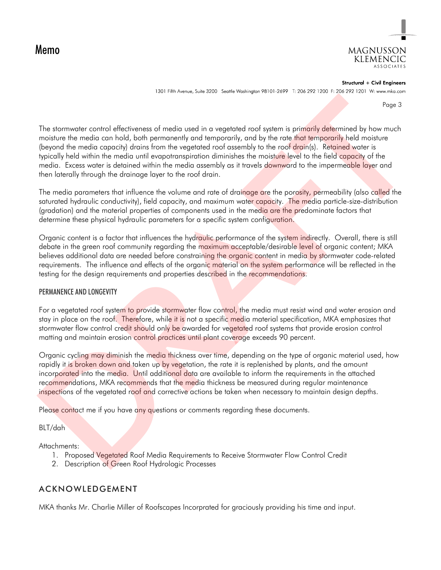Memo



Structural + Civil Engineers 1301 Fifth Avenue, Suite 3200 Seattle Washington 98101-2699 T: 206 292 1200 F: 206 292 1201 W: www.mka.com

Page 3

The stormwater control effectiveness of media used in a vegetated roof system is primarily determined by how much moisture the media can hold, both permanently and temporarily, and by the rate that temporarily held moisture (beyond the media capacity) drains from the vegetated roof assembly to the roof drain(s). Retained water is typically held within the media until evapotranspiration diminishes the moisture level to the field capacity of the media. Excess water is detained within the media assembly as it travels downward to the impermeable layer and then laterally through the drainage layer to the roof drain. Four external enterpretations of model used in a vegetable from system is principly determined by how much model commonly and the four model commonly and the four model (because the model commonly and model to the control

The media parameters that influence the volume and rate of drainage are the porosity, permeability (also called the saturated hydraulic conductivity), field capacity, and maximum water capacity. The media particle-size-distribution (gradation) and the material properties of components used in the media are the predominate factors that determine these physical hydraulic parameters for a specific system configuration.

Organic content is a factor that influences the hydraulic performance of the system indirectly. Overall, there is still debate in the green roof community regarding the maximum acceptable/desirable level of organic content; MKA believes additional data are needed before constraining the organic content in media by stormwater code-related requirements. The influence and effects of the organic material on the system performance will be reflected in the testing for the design requirements and properties described in the recommendations.

#### PERMANENCE AND LONGEVITY

For a vegetated roof system to provide stormwater flow control, the media must resist wind and water erosion and stay in place on the roof. Therefore, while it is not a specific media material specification, MKA emphasizes that stormwater flow control credit should only be awarded for vegetated roof systems that provide erosion control matting and maintain erosion control practices until plant coverage exceeds 90 percent.

Organic cycling may diminish the media thickness over time, depending on the type of organic material used, how rapidly it is broken down and taken up by vegetation, the rate it is replenished by plants, and the amount incorporated into the media. Until additional data are available to inform the requirements in the attached recommendations, MKA recommends that the media thickness be measured during regular maintenance inspections of the vegetated roof and corrective actions be taken when necessary to maintain design depths.

Please contact me if you have any questions or comments regarding these documents.

BLT/dah

Attachments:

- 1. Proposed Vegetated Roof Media Requirements to Receive Stormwater Flow Control Credit
- 2. Description of Green Roof Hydrologic Processes

## ACKNOWLEDGEMENT

MKA thanks Mr. Charlie Miller of Roofscapes Incorpr ated for graciously providing his time and input.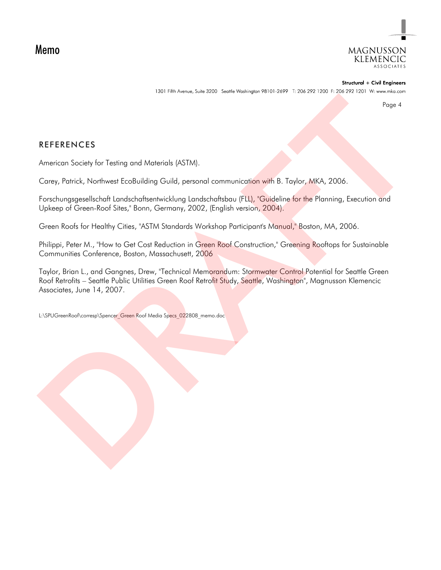Memo



Structural + Civil Engineers

Page 4

### REFERENCES

American Society for Testing and Materials (ASTM).

Carey, Patrick, Northwest EcoBuilding Guild, personal communication with B. Taylor, MKA, 2006.

Forschungsgesellschaft Landschaftsentwicklung Landschaftsbau (FLL), "Guideline for the Planning, Execution and Upkeep of Green-Roof Sites," Bonn, Germany, 2002, (English version, 2004).

Green Roofs for Healthy Cities, "ASTM Standards Workshop Participant's Manual," Boston, MA, 2006.

Philippi, Peter M., "How to Get Cost Reduction in Green Roof Construction," Greening Rooftops for Sustainable Communities Conference, Boston, Massachusett, 2006

Taylor, Brian L., and Gangnes, Drew, "Technical Memorandum: Stormwater Control Potential for Seattle Green Roof Retrofits – Seattle Public Utilities Green Roof Retrofit Study, Seattle, Washington", Magnusson Klemencic Associates, June 14, 2007. Pape A<br>REFERENCES<br>American Society for Testing and Materials (ASTM).<br>Coroy, Potrick, Northwest Eco8Uriding Guild, personal communication with B. Taylor, MKA, 2006.<br>Transformation Coronal State (See The Coronal Control of t

L:\SPUGreenRoof\corresp\Spencer\_Green Roof Media Specs\_022808\_memo.doc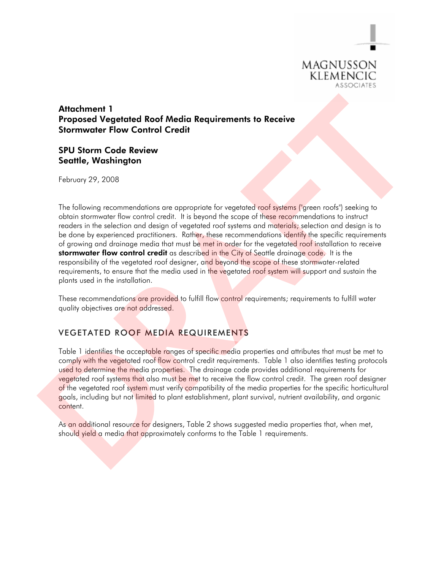

## Attachment 1 Proposed Vegetated Roof Media Requirements to Receive Stormwater Flow Control Credit

#### SPU Storm Code Review Seattle, Washington

February 29, 2008

The following recommendations are appropriate for vegetated roof systems ("green roofs") seeking to obtain stormwater flow control credit. It is beyond the scope of these recommendations to instruct readers in the selection and design of vegetated roof systems and materials; selection and design is to be done by experienced practitioners. Rather, these recommendations identify the specific requirements of growing and drainage media that must be met in order for the vegetated roof installation to receive stormwater flow control credit as described in the City of Seattle drainage code. It is the responsibility of the vegetated roof designer, and beyond the scope of these stormwater-related requirements, to ensure that the media used in the vegetated roof system will support and sustain the plants used in the installation. Attachment 1<br>
Proposed Vegetated Roof Media Requirements to Receive<br>
Stormwater Flow Control Credit<br>
SPU Stormwater Flow Control Credit<br>
SPU Storm Code Review<br>
Seattle, Washington<br>
The following recommendations are appropr

These recommendations are provided to fulfill flow control requirements; requirements to fulfill water quality objectives are not addressed.

## VEGETATED ROOF MEDIA REQUIREMENTS

Table 1 identifies the acceptable ranges of specific media properties and attributes that must be met to comply with the vegetated roof flow control credit requirements. Table 1 also identifies testing protocols used to determine the media properties. The drainage code provides additional requirements for vegetated roof systems that also must be met to receive the flow control credit. The green roof designer of the vegetated roof system must verify compatibility of the media properties for the specific horticultural goals, including but not limited to plant establishment, plant survival, nutrient availability, and organic content.

As an additional resource for designers, Table 2 shows suggested media properties that, when met, shoul<mark>d yield a</mark> media t<mark>hat a</mark>pproximately conforms to the Table 1 requirements.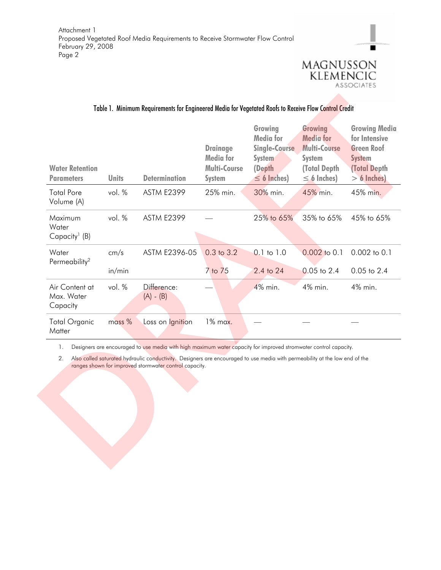

▬

### Table 1. Minimum Requirements for Engineered Media for Vegetated Roofs to Receive Flow Control Credit

| <b>Water Retention</b><br><b>Parameters</b>   | <b>Units</b> | <b>Determination</b>                                                                                                                                                                                                                                                                                      | <b>Drainage</b><br><b>Media for</b><br><b>Multi-Course</b><br><b>System</b> | Growing<br><b>Media for</b><br><b>Single-Course</b><br><b>System</b><br>(Depth<br>$\leq$ 6 Inches) | Growing<br><b>Media for</b><br><b>Multi-Course</b><br><b>System</b><br><b>(Total Depth)</b><br>$\leq$ 6 Inches) | <b>Growing Media</b><br>for Intensive<br><b>Green Roof</b><br><b>System</b><br><b>(Total Depth</b><br>$> 6$ Inches) |
|-----------------------------------------------|--------------|-----------------------------------------------------------------------------------------------------------------------------------------------------------------------------------------------------------------------------------------------------------------------------------------------------------|-----------------------------------------------------------------------------|----------------------------------------------------------------------------------------------------|-----------------------------------------------------------------------------------------------------------------|---------------------------------------------------------------------------------------------------------------------|
| <b>Total Pore</b><br>Volume (A)               | vol. %       | <b>ASTM E2399</b>                                                                                                                                                                                                                                                                                         | 25% min.                                                                    | 30% min.                                                                                           | 45% min.                                                                                                        | 45% min.                                                                                                            |
| Maximum<br>Water<br>Capacity <sup>1</sup> (B) | vol. %       | <b>ASTM E2399</b>                                                                                                                                                                                                                                                                                         |                                                                             | 25% to 65%                                                                                         | 35% to 65%                                                                                                      | 45% to 65%                                                                                                          |
| Water                                         | cm/s         | ASTM E2396-05                                                                                                                                                                                                                                                                                             | 0.3 to 3.2                                                                  | $0.1$ to $1.0$                                                                                     | 0.002 to 0.1                                                                                                    | 0.002 to 0.1                                                                                                        |
| Permeability <sup>2</sup>                     | in/min       |                                                                                                                                                                                                                                                                                                           | 7 to 75                                                                     | 2.4 to 24                                                                                          | $0.05$ to $2.4$                                                                                                 | $0.05$ to $2.4$                                                                                                     |
| Air Content at<br>Max. Water<br>Capacity      | vol. %       | Difference:<br>$(A) - (B)$                                                                                                                                                                                                                                                                                |                                                                             | 4% min.                                                                                            | 4% min.                                                                                                         | 4% min.                                                                                                             |
| <b>Total Organic</b><br>Matter                | mass %       | Loss on Ignition                                                                                                                                                                                                                                                                                          | 1% max.                                                                     |                                                                                                    |                                                                                                                 |                                                                                                                     |
| 1.<br>2.                                      |              | Designers are encouraged to use media with high maximum water capacity for improved stromwater control capacity.<br>Also called saturated hydraulic conductivity. Designers are encouraged to use media with permeability at the low end of the<br>ranges shown for improved stormwater control capacity. |                                                                             |                                                                                                    |                                                                                                                 |                                                                                                                     |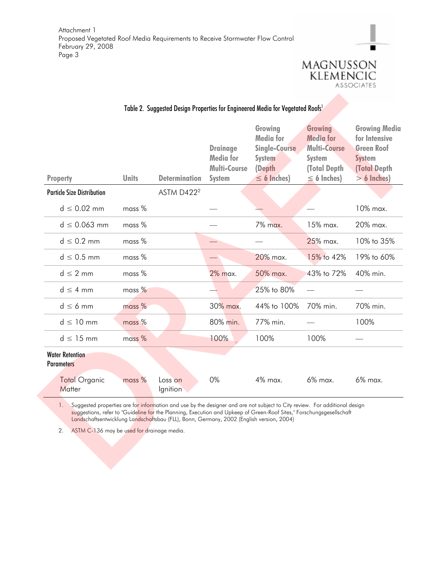

▬

| <b>Property</b>                                        | <b>Units</b> | <b>Determination</b>                                                                                                                                                                                                                                                                                                                           | <b>Drainage</b><br><b>Media</b> for<br><b>Multi-Course</b><br><b>System</b> | Growing<br><b>Media</b> for<br><b>Single-Course</b><br><b>System</b><br>(Depth<br>$\leq$ 6 Inches) | <b>Growing</b><br><b>Media for</b><br><b>Multi-Course</b><br><b>System</b><br>(Total Depth<br>$\leq$ 6 Inches) | <b>Growing Media</b><br>for Intensive<br><b>Green Roof</b><br><b>System</b><br><b>(Total Depth</b><br>$> 6$ Inches) |
|--------------------------------------------------------|--------------|------------------------------------------------------------------------------------------------------------------------------------------------------------------------------------------------------------------------------------------------------------------------------------------------------------------------------------------------|-----------------------------------------------------------------------------|----------------------------------------------------------------------------------------------------|----------------------------------------------------------------------------------------------------------------|---------------------------------------------------------------------------------------------------------------------|
| <b>Particle Size Distribution</b>                      |              | ASTM D422 <sup>2</sup>                                                                                                                                                                                                                                                                                                                         |                                                                             |                                                                                                    |                                                                                                                |                                                                                                                     |
| $d \leq 0.02$ mm                                       | mass %       |                                                                                                                                                                                                                                                                                                                                                |                                                                             |                                                                                                    |                                                                                                                | 10% max.                                                                                                            |
| $d \le 0.063$ mm                                       | mass %       |                                                                                                                                                                                                                                                                                                                                                |                                                                             | 7% max.                                                                                            | 15% max.                                                                                                       | 20% max.                                                                                                            |
| $d \leq 0.2$ mm                                        | mass %       |                                                                                                                                                                                                                                                                                                                                                |                                                                             |                                                                                                    | 25% max.                                                                                                       | 10% to 35%                                                                                                          |
| $d \leq 0.5$ mm                                        | $mass %$     |                                                                                                                                                                                                                                                                                                                                                |                                                                             | 20% max.                                                                                           | 15% to 42%                                                                                                     | 19% to 60%                                                                                                          |
| $d \leq 2$ mm                                          | mass %       |                                                                                                                                                                                                                                                                                                                                                | 2% max.                                                                     | 50% max.                                                                                           | 43% to 72%                                                                                                     | 40% min.                                                                                                            |
| $d \leq 4$ mm                                          | mass %       |                                                                                                                                                                                                                                                                                                                                                |                                                                             | 25% to 80%                                                                                         |                                                                                                                |                                                                                                                     |
| $d \leq 6$ mm                                          | mass %       |                                                                                                                                                                                                                                                                                                                                                | 30% max.                                                                    | 44% to 100%                                                                                        | 70% min.                                                                                                       | 70% min.                                                                                                            |
| $d \leq 10$ mm                                         | mass %       |                                                                                                                                                                                                                                                                                                                                                | 80% min.                                                                    | 77% min.                                                                                           |                                                                                                                | 100%                                                                                                                |
| $d \leq 15$ mm                                         | mass %       |                                                                                                                                                                                                                                                                                                                                                | 100%                                                                        | 100%                                                                                               | 100%                                                                                                           |                                                                                                                     |
| <b>Water Retention</b><br><b>Parameters</b>            |              |                                                                                                                                                                                                                                                                                                                                                |                                                                             |                                                                                                    |                                                                                                                |                                                                                                                     |
| <b>Total Organic</b><br>Matter                         | mass %       | Loss on<br>lgnition                                                                                                                                                                                                                                                                                                                            | 0%                                                                          | 4% max.                                                                                            | 6% max.                                                                                                        | 6% max.                                                                                                             |
| 1.<br>2.<br>ASTM C-136 may be used for drainage media. |              | Suggested properties are for information and use by the designer and are not subject to City review. For additional design<br>suggestions, refer to "Guideline for the Planning, Execution and Upkeep of Green-Roof Sites," Forschungsgesellschaft<br>Landschaftsentwicklung Landschaftsbau (FLL), Bonn, Germany, 2002 (English version, 2004) |                                                                             |                                                                                                    |                                                                                                                |                                                                                                                     |

## Table 2. Suggested Design Properties for Engineered Media for Vegetated Roofs<sup>1</sup>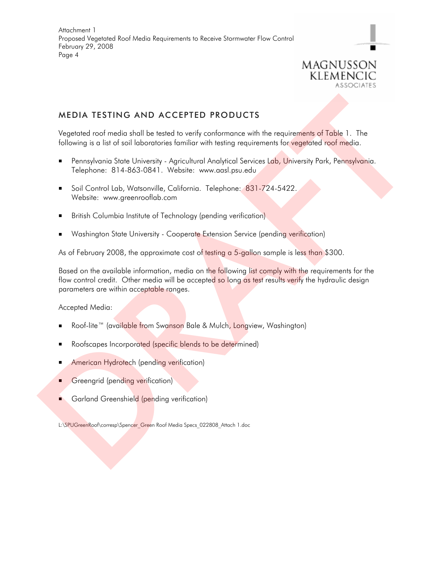

## MEDIA TESTING AND ACCEPTED PRODUCTS

Vegetated roof media shall be tested to verify conformance with the requirements of Table 1. The following is a list of soil laboratories familiar with testing requirements for vegetated roof media.

- Pennsylvania State University Agricultural Analytical Services Lab, University Park, Pennsylvania. Telephone: 814-863-0841. Website: www.aasl.psu.edu
- Soil Control Lab, Watsonville, California. Telephone: 831-724-5422. Website: www.greenrooflab.com
- British Columbia Institute of Technology (pending verification)
- Washington State University Cooperate Extension Service (pending verification)

As of February 2008, the approximate cost of testing a 5-gallon sample is less than \$300.

Based on the available information, media on the following list comply with the requirements for the flow control credit. Other media will be accepted so long as test results verify the hydraulic design parameters are within acceptable ranges. MEDIA TESTING AND ACCEPTED PRODUCTS<br>
Vegetared roof media shall be tested to verify conformance with the requirements of Table 1. The<br>
following is a list of solid biomototres formian with testing requirements for regarded

Accepted Media:

- Roof-lite™ (available from Swanson Bale & Mulch, Longview, Washington)
- Roofscapes Incorporated (specific blends to be determined)
- American Hydrotech (pending verification)
- Greengrid (pending verification)
- Garland Greenshield (pending verification)

L:\SPUGreenRoof\corresp\Spencer\_Green Roof Media Specs\_022808\_Attach 1.doc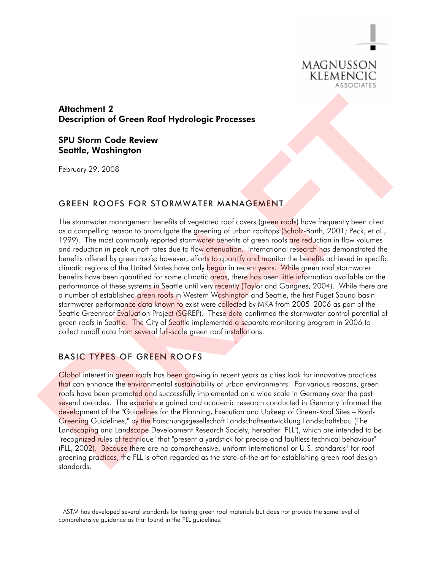

## Attachment 2 Description of Green Roof Hydrologic Processes

### SPU Storm Code Review Seattle, Washington

February 29, 2008

-

#### GREEN ROOFS FOR STORMWATER MANAGEMENT

The stormwater management benefits of vegetated roof covers (green roofs) have frequently been cited as a compelling reason to promulgate the greening of urban rooftops (Scholz-Barth, 2001; Peck, et al., 1999). The most commonly reported stormwater benefits of green roofs are reduction in flow volumes and reduction in peak runoff rates due to flow attenuation. International research has demonstrated the benefits offered by green roofs; however, efforts to quantify and monitor the benefits achieved in specific climatic regions of the United States have only begun in recent years. While green roof stormwater benefits have been quantified for some climatic areas, there has been little information available on the performance of these systems in Seattle until very recently (Taylor and Gangnes, 2004). While there are a number of established green roofs in Western Washington and Seattle, the first Puget Sound basin stormwater performance data known to exist were collected by MKA from 2005–2006 as part of the Seattle Greenroof Evaluation Project (SGREP). These data confirmed the stormwater control potential of green roofs in Seattle. The City of Seattle implemented a separate monitoring program in 2006 to collect runoff data from several full-scale green roof installations. Attachment 2<br>
Description of Green Roof Hydrologic Processes<br>
SPU Storing Code Review<br>
Seattle, Washington<br>
February 29, 2008<br>
CREEN ROOFS FOR STORMWATER MANAGEMENT<br>
The convention comparement because of gradient contents

## BASIC TYPES OF GREEN ROOFS

Global interest in green roofs has been growing in recent years as cities look for innovative practices that can enhance the environmental sustainability of urban environments. For various reasons, green roofs have been promoted and successfully implemented on a wide scale in Germany over the past several decades. The experience gained and academic research conducted in Germany informed the development of the "Guidelines for the Planning, Execution and Upkeep of Green-Roof Sites – Roof-Greening Guidelines," by the Forschungsgesellschaft Landschaftsentwicklung Landschaftsbau (The Landscaping and Landscape Development Research Society, hereafter "FLL"), which are intended to be "recognized rules of technique" that "present a yardstick for precise and faultless technical behaviour" (FLL, 2002). Because there are no comprehensive, uniform international or U.S. standards<sup>1</sup> for roof greening practices, the FLL is often regarded as the state-of-the art for establishing green roof design standards.

<sup>&</sup>lt;sup>1</sup> ASTM has developed several standards for testing green roof materials but does not provide the same level of comprehensive guidance as that found in the FLL guidelines.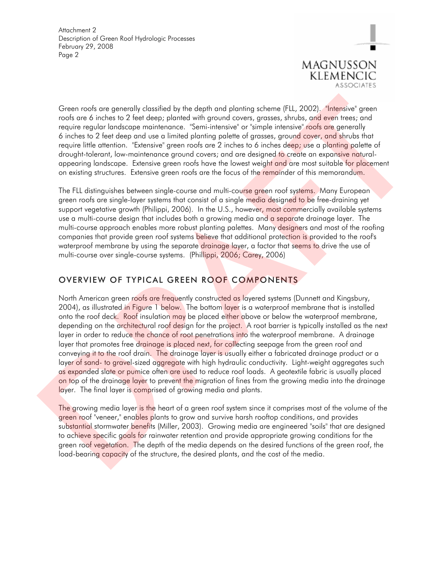

Green roofs are generally classified by the depth and planting scheme (FLL, 2002). "Intensive" green roofs are 6 inches to 2 feet deep; planted with ground covers, grasses, shrubs, and even trees; and require regular landscape maintenance. "Semi-intensive" or "simple intensive" roofs are generally 6 inches to 2 feet deep and use a limited planting palette of grasses, ground cover, and shrubs that require little attention. "Extensive" green roofs are 2 inches to 6 inches deep; use a planting palette of drought-tolerant, low-maintenance ground covers; and are designed to create an expansive naturalappearing landscape. Extensive green roofs have the lowest weight and are most suitable for placement on existing structures. Extensive green roofs are the focus of the remainder of this memorandum.

The FLL distinguishes between single-course and multi-course green roof systems. Many European green roofs are single-layer systems that consist of a single media designed to be free-draining yet support vegetative growth (Philippi, 2006). In the U.S., however, most commercially available systems use a multi-course design that includes both a growing media and a separate drainage layer. The multi-course approach enables more robust planting palettes. Many designers and most of the roofing companies that provide green roof systems believe that additional protection is provided to the roof's waterproof membrane by using the separate drainage layer, a factor that seems to drive the use of multi-course over single-course systems. (Phillippi, 2006; Carey, 2006)

## OVERVIEW OF TYPICAL GREEN ROOF COMPONENTS

North American green roofs are frequently constructed as layered systems (Dunnett and Kingsbury, 2004), as illustrated in Figure 1 below. The bottom layer is a waterproof membrane that is installed onto the roof deck. Roof insulation may be placed either above or below the waterproof membrane, depending on the architectural roof design for the project. A root barrier is typically installed as the next layer in order to reduce the chance of root penetrations into the waterproof membrane. A drainage layer that promotes free drainage is placed next, for collecting seepage from the green roof and conveying it to the roof drain. The drainage layer is usually either a fabricated drainage product or a layer of sand- to gravel-sized aggregate with high hydraulic conductivity. Light-weight aggregates such as expanded slate or pumice often are used to reduce roof loads. A geotextile fabric is usually placed on top of the drainage layer to prevent the migration of fines from the growing media into the drainage layer. The final layer is comprised of growing media and plants. Green roots are generally distributed by the depth and plonting scheme [FL, 2002), "interarive" green roots une for the step in both the form of the step in the first of the depth of the depth of the depth of the depth of

The growing media layer is the heart of a green roof system since it comprises most of the volume of the green roof "veneer," enables plants to grow and survive harsh rooftop conditions, and provides su<mark>bstantial</mark> stormwater <mark>benef</mark>its (Miller, 2003). Growing media are engineered "soils" that are designed to ach<mark>ieve sp</mark>ecific goals for rainwater retention and provide appropriate growing conditions for the green roof vegetation. The depth of the media depends on the desired functions of the green roof, the load-bearing capacity of the structure, the desired plants, and the cost of the media.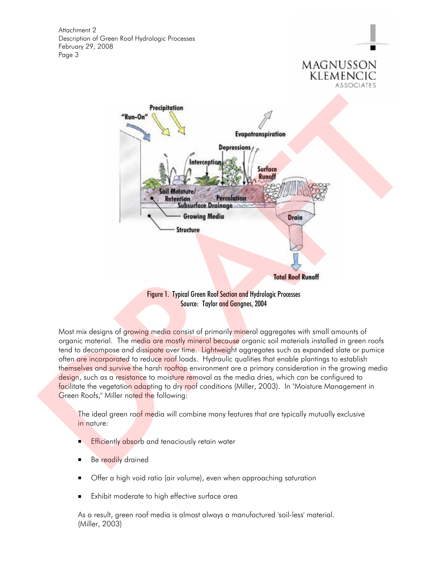

MAGNUSSON klemencic

Figure 1. Typical Green Roof Section and Hydrologic Processes Source: Taylor and Gangnes, 2004

Most mix designs of growing media consist of primarily mineral aggregates with small amounts of organic material. The media are mostly mineral because organic soil materials installed in green roofs tend to decompose and dissipate over time. Lightweight aggregates such as expanded slate or pumice often are incorporated to reduce roof loads. Hydraulic qualities that enable plantings to establish themselves and survive the harsh rooftop environment are a primary consideration in the growing media design, such as a resistance to moisture removal as the media dries, which can be configured to facilitate the vegetation adapting to dry roof conditions (Miller, 2003). In "Moisture Management in Green Roofs," Miller noted the following:

The ideal green roof media will combine many features that are typically mutually exclusive in nature:

- **Efficiently absorb and tenaciously retain water**
- Be readily drained
- **Deapth** Offer a high void ratio (air volume), even when approaching saturation
- Exhibit moderate to high effective surface area

As a result, green roof media is almost always a manufactured 'soil-less' material. (Miller, 2003)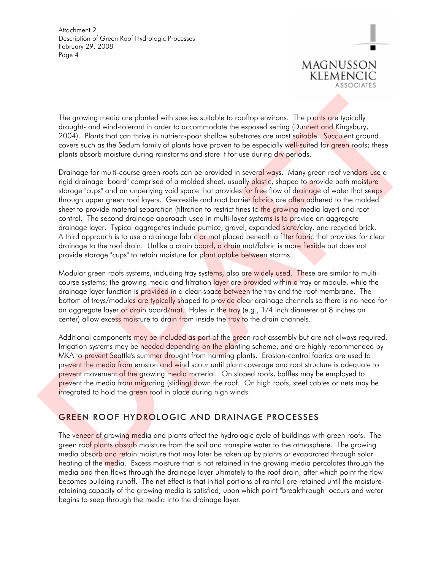

The growing media are planted with species suitable to rooftop environs. The plants are typically drought- and wind-tolerant in order to accommodate the exposed setting (Dunnett and Kingsbury, 2004). Plants that can thrive in nutrient-poor shallow substrates are most suitable. Succulent ground covers such as the Sedum family of plants have proven to be especially well-suited for green roofs; these plants absorb moisture during rainstorms and store it for use during dry periods.

Drainage for multi-course green roofs can be provided in several ways. Many green roof vendors use a rigid drainage "board" comprised of a molded sheet, usually plastic, shaped to provide both moisture storage "cups" and an underlying void space that provides for free flow of drainage of water that seeps through upper green roof layers. Geotextile and root barrier fabrics are often adhered to the molded sheet to provide material separation (filtration to restrict fines to the growing media layer) and root control. The second drainage approach used in multi-layer systems is to provide an aggregate drainage layer. Typical aggregates include pumice, gravel, expanded slate/clay, and recycled brick. A third approach is to use a drainage fabric or mat placed beneath a filter fabric that provides for clear drainage to the roof drain. Unlike a drain board, a drain mat/fabric is more flexible but does not provide storage "cups" to retain moisture for plant uptake between storms. The growing media are photel with species suidable to reactop movies. The plans are figured drought and wide-to-beam the background of the suitable to react and the suitable of contribution (Domination Singleting Counsel

Modular green roofs systems, including tray systems, also are widely used. These are similar to multicourse systems; the growing media and filtration layer are provided within a tray or module, while the drainage layer function is provided in a clear-space between the tray and the roof membrane. The bottom of trays/modules are typically shaped to provide clear drainage channels so there is no need for an aggregate layer o<mark>r drai</mark>n board/mat. Holes in th<mark>e tray</mark> (e.g., 1/4 inch diameter at 8 inches on center) allow excess moisture to drain from inside the tray to the drain channels.

Additional components may be included as part of the green roof assembly but are not always required. Irrigation systems may be needed depending on the planting scheme, and are highly recommended by MKA to prevent Seattle's summer drought from harming plants. Erosion-control fabrics are used to prevent the media from erosion and wind scour until plant coverage and root structure is adequate to prevent movement of the growing media material. On sloped roofs, baffles may be employed to prevent the media from migrating (sliding) down the roof. On high roofs, steel cables or nets may be integrated to hold the green roof in place during high winds.

# GREEN ROOF HYDROLOGIC AND DRAINAGE PROCESSES

The veneer of growing media and plants affect the hydrologic cycle of buildings with green roofs. The green roof plants absorb moisture from the soil and transpire water to the atmosphere. The growing media absorb and retain moisture that may later be taken up by plants or evaporated through solar heating of the media. Excess moisture that is not retained in the growing media percolates through the media and then flows through the drainage layer ultimately to the roof drain, after which point the flow becomes building runoff. The net effect is that initial portions of rainfall are retained until the moistureretaining capacity of the growing media is satisfied, upon which point "breakthrough" occurs and water begins to seep through the media into the drainage layer.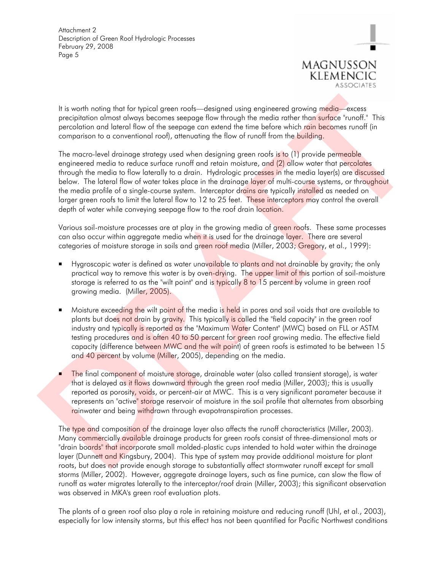

It is worth noting that for typical green roofs—designed using engineered growing media—excess precipitation almost always becomes seepage flow through the media rather than surface "runoff." This percolation and lateral flow of the seepage can extend the time before which rain becomes runoff (in comparison to a conventional roof), attenuating the flow of runoff from the building.

The macro-level drainage strategy used when designing green roofs is to (1) provide permeable engineered media to reduce surface runoff and retain moisture, and (2) allow water that percolates through the media to flow laterally to a drain. Hydrologic processes in the media layer(s) are discussed below. The lateral flow of water takes place in the drainage layer of multi-course systems, or throughout the media profile of a single-course system. Interceptor drains are typically installed as needed on larger green roofs to limit the lateral flow to 12 to 25 feet. These interceptors may control the overall depth of water while conveying seepage flow to the roof drain location. It is worth noting that for typical green roofs—designed uting engineered growing medic—excess<br>precision united downs locous sections are consistent in meta-calculations and the meta-calculation through the meta-calculati

Various soil-moisture processes are at play in the growing media of green roofs. These same processes can also occur within aggregate media when it is used for the drainage layer. There are several categories of moisture storage in soils and green roof media (Miller, 2003; Gregory, et al., 1999):

- Hygroscopic water is defined as water unavailable to plants and not drainable by gravity; the only practical way to remove this water is by oven-drying. The upper limit of this portion of soil-moisture storage is referred to as the "wilt point" and is typically 8 to 15 percent by volume in green roof growing media. (Miller, 2005).
- Moisture exceeding the wilt point of the media is held in pores and soil voids that are available to plants but does not drain by gravity. This typically is called the "field capacity" in the green roof industry and typically is reported as the "Maximum Water Content" (MWC) based on FLL or ASTM testing procedures and is often 40 to 50 percent for green roof growing media. The effective field capacity (difference between MWC and the wilt point) of green roofs is estimated to be between 15 and 40 percent by volume (Miller, 2005), depending on the media.
- The final component of moisture storage, drainable water (also called transient storage), is water that is delayed as it flows downward through the green roof media (Miller, 2003); this is usually reported as porosity, voids, or percent-air at MWC. This is a very significant parameter because it represents an "active" storage reservoir of moisture in the soil profile that alternates from absorbing rainwater and being withdrawn through evapotranspiration processes.

The type and composition of the drainage layer also affects the runoff characteristics (Miller, 2003). Many commercially available drainage products for green roofs consist of three-dimensional mats or "drain boards" that incorporate small molded-plastic cups intended to hold water within the drainage layer (Dunnett and Kingsbury, 2004). This type of system may provide additional moisture for plant roots, but does not provide enough storage to substantially affect stormwater runoff except for small storms (Miller, 2002). However, aggregate drainage layers, such as fine pumice, can slow the flow of runoff as water migrates laterally to the interceptor/roof drain (Miller, 2003); this significant observation was observed in MKA's green roof evaluation plots.

The plants of a green roof also play a role in retaining moisture and reducing runoff (Uhl, et al., 2003), especially for low intensity storms, but this effect has not been quantified for Pacific Northwest conditions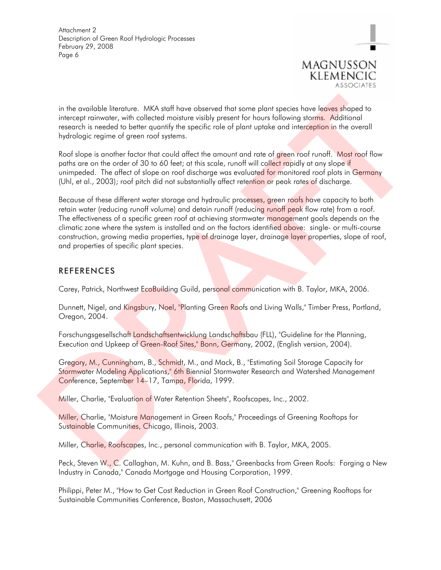

in the available literature. MKA staff have observed that some plant species have leaves shaped to intercept rainwater, with collected moisture visibly present for hours following storms. Additional research is needed to better quantify the specific role of plant uptake and interception in the overall hydrologic regime of green roof systems.

Roof slope is another factor that could affect the amount and rate of green roof runoff. Most roof flow paths are on the order of 30 to 60 feet; at this scale, runoff will collect rapidly at any slope if unimpeded. The affect of slope on roof discharge was evaluated for monitored roof plots in Germany (Uhl, et al., 2003); roof pitch did not substantially affect retention or peak rates of discharge.

Because of these different water storage and hydraulic processes, green roofs have capacity to both retain water (reducing runoff volume) and detain runoff (reducing runoff peak flow rate) from a roof. The effectiveness of a specific green roof at achieving stormwater management goals depends on the climatic zone where the system is installed and on the factors identified above: single- or multi-course construction, growing media properties, type of drainage layer, drainage layer properties, slope of roof, and properties of specific plant species. in the ovaliable literature. MKA staff have observed that some plant species have leaves shaped to<br>intercept surrection, with collectrat metalure visibly present for them following starts. Michaired literature<br>for the seco

#### REFERENCES

Carey, Patrick, Northwest EcoBuilding Guild, personal communication with B. Taylor, MKA, 2006.

Dunnett, Nigel, and Kingsbury, Noel, "Planting Green Roofs and Living Walls," Timber Press, Portland, Oregon, 2004.

Forschungsgesellschaft Landschaftsentwicklung Landschaftsbau (FLL), "Guideline for the Planning, Execution and Upkeep of Green-Roof Sites," Bonn, Germany, 2002, (English version, 2004).

Gregory, M., Cunningham, B., Schmidt, M., and Mack, B., "Estimating Soil Storage Capacity for Stormwater Modeling Applications," 6th Biennial Stormwater Research and Watershed Management Conference, September 14-17, Tampa, Florida, 1999.

Miller, Charlie, "Evaluation of Water Retention Sheets", Roofscapes, Inc., 2002.

Miller, Charlie, "Moisture Management in Green Roofs," Proceedings of Greening Rooftops for Sustainable Communities, Chicago, Illinois, 2003.

Miller, Charlie, Roofscapes, Inc., personal communication with B. Taylor, MKA, 2005.

Peck, Steven W., C. Callaghan, M. Kuhn, and B. Bass," Greenbacks from Green Roofs: Forging a New Industry in Canada," Canada Mortgage and Housing Corporation, 1999.

Philippi, Peter M., "How to Get Cost Reduction in Green Roof Construction," Greening Rooftops for Sustainable Communities Conference, Boston, Massach usett, 2006